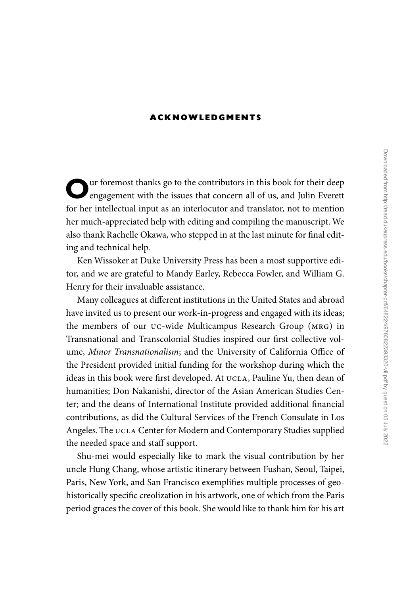## **Ac kn ow l e d gments**

ur foremost thanks go to the contributors in this book for their deep engagement with the issues that concern all of us, and Julin Everett for her intellectual input as an interlocutor and translator, not to mention her much-appreciated help with editing and compiling the manuscript. We also thank Rachelle Okawa, who stepped in at the last minute for final editing and technical help.

Ken Wissoker at Duke University Press has been a most supportive editor, and we are grateful to Mandy Earley, Rebecca Fowler, and William G. Henry for their invaluable assistance.

Many colleagues at different institutions in the United States and abroad have invited us to present our work-in-progress and engaged with its ideas; the members of our UC-wide Multicampus Research Group (MRG) in Transnational and Transcolonial Studies inspired our first collective volume, *Minor Transnationalism*; and the University of California Office of the President provided initial funding for the workshop during which the ideas in this book were first developed. At UCLA, Pauline Yu, then dean of humanities; Don Nakanishi, director of the Asian American Studies Center; and the deans of International Institute provided additional financial contributions, as did the Cultural Services of the French Consulate in Los Angeles. The UCLA Center for Modern and Contemporary Studies supplied the needed space and staff support.

Shu-mei would especially like to mark the visual contribution by her uncle Hung Chang, whose artistic itinerary between Fushan, Seoul, Taipei, Paris, New York, and San Francisco exemplifies multiple processes of geohistorically specific creolization in his artwork, one of which from the Paris period graces the cover of this book. She would like to thank him for his art